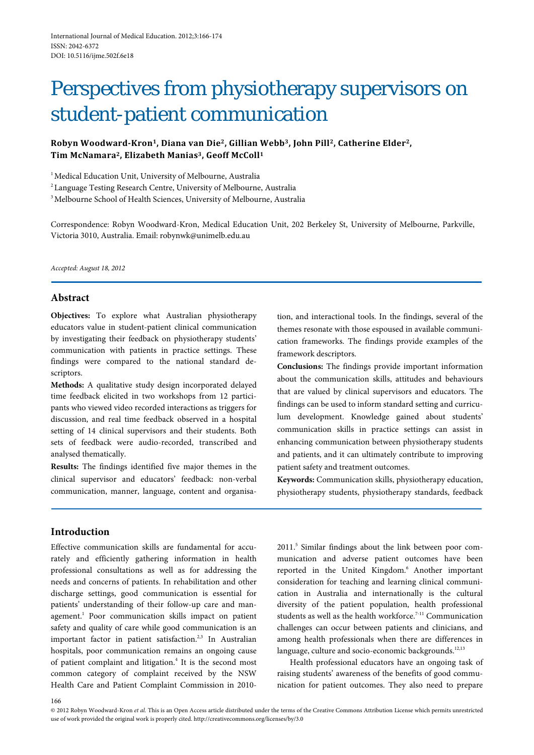# Perspectives from physiotherapy supervisors on student-patient communication

# **Robyn Woodward-Kron1, Diana van Die2, Gillian Webb3, John Pill2, Catherine Elder2, Tim McNamara2, Elizabeth Manias3, Geoff McColl1**

<sup>1</sup> Medical Education Unit, University of Melbourne, Australia

 $^{2}$ Language Testing Research Centre, University of Melbourne, Australia

<sup>3</sup>Melbourne School of Health Sciences, University of Melbourne, Australia

Correspondence: Robyn Woodward-Kron, Medical Education Unit, 202 Berkeley St, University of Melbourne, Parkville, Victoria 3010, Australia. Email: robynwk@unimelb.edu.au

### *Accepted: August 18, 2012*

# **Abstract**

**Objectives:** To explore what Australian physiotherapy educators value in student-patient clinical communication by investigating their feedback on physiotherapy students' communication with patients in practice settings. These findings were compared to the national standard descriptors.

**Methods:** A qualitative study design incorporated delayed time feedback elicited in two workshops from 12 participants who viewed video recorded interactions as triggers for discussion, and real time feedback observed in a hospital setting of 14 clinical supervisors and their students. Both sets of feedback were audio-recorded, transcribed and analysed thematically.

**Results:** The findings identified five major themes in the clinical supervisor and educators' feedback: non-verbal communication, manner, language, content and organisation, and interactional tools. In the findings, several of the themes resonate with those espoused in available communication frameworks. The findings provide examples of the framework descriptors.

**Conclusions:** The findings provide important information about the communication skills, attitudes and behaviours that are valued by clinical supervisors and educators. The findings can be used to inform standard setting and curriculum development. Knowledge gained about students' communication skills in practice settings can assist in enhancing communication between physiotherapy students and patients, and it can ultimately contribute to improving patient safety and treatment outcomes.

**Keywords:** Communication skills, physiotherapy education, physiotherapy students, physiotherapy standards, feedback

# **Introduction**

Effective communication skills are fundamental for accurately and efficiently gathering information in health professional consultations as well as for addressing the needs and concerns of patients. In rehabilitation and other discharge settings, good communication is essential for patients' understanding of their follow-up care and management.<sup>1</sup> Poor communication skills impact on patient safety and quality of care while good communication is an important factor in patient satisfaction.<sup>2,3</sup> In Australian hospitals, poor communication remains an ongoing cause of patient complaint and litigation.<sup>4</sup> It is the second most common category of complaint received by the NSW Health Care and Patient Complaint Commission in 2010-

2011.<sup>5</sup> Similar findings about the link between poor communication and adverse patient outcomes have been reported in the United Kingdom.<sup>6</sup> Another important consideration for teaching and learning clinical communication in Australia and internationally is the cultural diversity of the patient population, health professional students as well as the health workforce.<sup>7-11</sup> Communication challenges can occur between patients and clinicians, and among health professionals when there are differences in language, culture and socio-economic backgrounds.<sup>12,13</sup>

Health professional educators have an ongoing task of raising students' awareness of the benefits of good communication for patient outcomes. They also need to prepare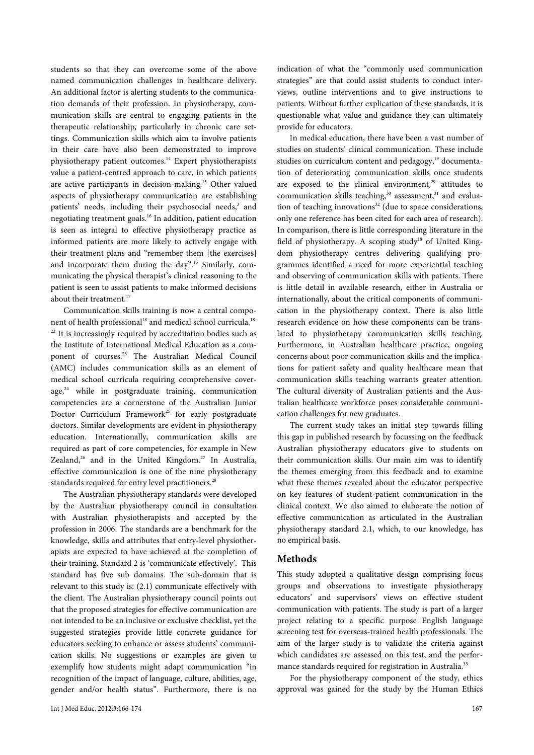students so that they can overcome some of the above named communication challenges in healthcare delivery. An additional factor is alerting students to the communication demands of their profession. In physiotherapy, communication skills are central to engaging patients in the therapeutic relationship, particularly in chronic care settings. Communication skills which aim to involve patients in their care have also been demonstrated to improve physiotherapy patient outcomes.<sup>14</sup> Expert physiotherapists value a patient-centred approach to care, in which patients are active participants in decision-making.<sup>15</sup> Other valued aspects of physiotherapy communication are establishing patients' needs, including their psychosocial needs,<sup>3</sup> and negotiating treatment goals.<sup>16</sup> In addition, patient education is seen as integral to effective physiotherapy practice as informed patients are more likely to actively engage with their treatment plans and "remember them [the exercises] and incorporate them during the day".15 Similarly, communicating the physical therapist's clinical reasoning to the patient is seen to assist patients to make informed decisions about their treatment.<sup>17</sup>

Communication skills training is now a central component of health professional<sup>18</sup> and medical school curricula.<sup>18-</sup>  $22$  It is increasingly required by accreditation bodies such as the Institute of International Medical Education as a component of courses.<sup>23</sup> The Australian Medical Council (AMC) includes communication skills as an element of medical school curricula requiring comprehensive coverage, $24$  while in postgraduate training, communication competencies are a cornerstone of the Australian Junior Doctor Curriculum Framework<sup>25</sup> for early postgraduate doctors. Similar developments are evident in physiotherapy education. Internationally, communication skills are required as part of core competencies, for example in New Zealand, $26$  and in the United Kingdom. $27$  In Australia, effective communication is one of the nine physiotherapy standards required for entry level practitioners.<sup>28</sup>

The Australian physiotherapy standards were developed by the Australian physiotherapy council in consultation with Australian physiotherapists and accepted by the profession in 2006. The standards are a benchmark for the knowledge, skills and attributes that entry-level physiotherapists are expected to have achieved at the completion of their training. Standard 2 is 'communicate effectively'. This standard has five sub domains. The sub-domain that is relevant to this study is: (2.1) communicate effectively with the client. The Australian physiotherapy council points out that the proposed strategies for effective communication are not intended to be an inclusive or exclusive checklist, yet the suggested strategies provide little concrete guidance for educators seeking to enhance or assess students' communication skills. No suggestions or examples are given to exemplify how students might adapt communication "in recognition of the impact of language, culture, abilities, age, gender and/or health status". Furthermore, there is no

indication of what the "commonly used communication strategies" are that could assist students to conduct interviews, outline interventions and to give instructions to patients. Without further explication of these standards, it is questionable what value and guidance they can ultimately provide for educators.

In medical education, there have been a vast number of studies on students' clinical communication. These include studies on curriculum content and pedagogy,<sup>19</sup> documentation of deteriorating communication skills once students are exposed to the clinical environment.<sup>29</sup> attitudes to communication skills teaching, $30$  assessment, $31$  and evaluation of teaching innovations $32$  (due to space considerations, only one reference has been cited for each area of research). In comparison, there is little corresponding literature in the field of physiotherapy. A scoping study<sup>18</sup> of United Kingdom physiotherapy centres delivering qualifying programmes identified a need for more experiential teaching and observing of communication skills with patients. There is little detail in available research, either in Australia or internationally, about the critical components of communication in the physiotherapy context. There is also little research evidence on how these components can be translated to physiotherapy communication skills teaching. Furthermore, in Australian healthcare practice, ongoing concerns about poor communication skills and the implications for patient safety and quality healthcare mean that communication skills teaching warrants greater attention. The cultural diversity of Australian patients and the Australian healthcare workforce poses considerable communication challenges for new graduates.

The current study takes an initial step towards filling this gap in published research by focussing on the feedback Australian physiotherapy educators give to students on their communication skills. Our main aim was to identify the themes emerging from this feedback and to examine what these themes revealed about the educator perspective on key features of student-patient communication in the clinical context. We also aimed to elaborate the notion of effective communication as articulated in the Australian physiotherapy standard 2.1, which, to our knowledge, has no empirical basis.

# **Methods**

This study adopted a qualitative design comprising focus groups and observations to investigate physiotherapy educators' and supervisors' views on effective student communication with patients. The study is part of a larger project relating to a specific purpose English language screening test for overseas-trained health professionals. The aim of the larger study is to validate the criteria against which candidates are assessed on this test, and the performance standards required for registration in Australia.<sup>33</sup>

For the physiotherapy component of the study, ethics approval was gained for the study by the Human Ethics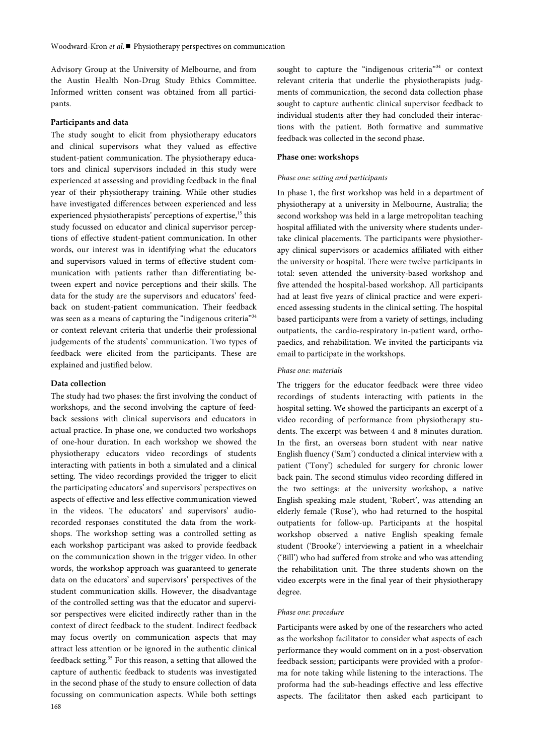Advisory Group at the University of Melbourne, and from the Austin Health Non-Drug Study Ethics Committee. Informed written consent was obtained from all participants.

## **Participants and data**

The study sought to elicit from physiotherapy educators and clinical supervisors what they valued as effective student-patient communication. The physiotherapy educators and clinical supervisors included in this study were experienced at assessing and providing feedback in the final year of their physiotherapy training. While other studies have investigated differences between experienced and less experienced physiotherapists' perceptions of expertise,<sup>15</sup> this study focussed on educator and clinical supervisor perceptions of effective student-patient communication. In other words, our interest was in identifying what the educators and supervisors valued in terms of effective student communication with patients rather than differentiating between expert and novice perceptions and their skills. The data for the study are the supervisors and educators' feedback on student-patient communication. Their feedback was seen as a means of capturing the "indigenous criteria"<sup>34</sup> or context relevant criteria that underlie their professional judgements of the students' communication. Two types of feedback were elicited from the participants. These are explained and justified below.

## **Data collection**

168 The study had two phases: the first involving the conduct of workshops, and the second involving the capture of feedback sessions with clinical supervisors and educators in actual practice. In phase one, we conducted two workshops of one-hour duration. In each workshop we showed the physiotherapy educators video recordings of students interacting with patients in both a simulated and a clinical setting. The video recordings provided the trigger to elicit the participating educators' and supervisors' perspectives on aspects of effective and less effective communication viewed in the videos. The educators' and supervisors' audiorecorded responses constituted the data from the workshops. The workshop setting was a controlled setting as each workshop participant was asked to provide feedback on the communication shown in the trigger video. In other words, the workshop approach was guaranteed to generate data on the educators' and supervisors' perspectives of the student communication skills. However, the disadvantage of the controlled setting was that the educator and supervisor perspectives were elicited indirectly rather than in the context of direct feedback to the student. Indirect feedback may focus overtly on communication aspects that may attract less attention or be ignored in the authentic clinical feedback setting.<sup>35</sup> For this reason, a setting that allowed the capture of authentic feedback to students was investigated in the second phase of the study to ensure collection of data focussing on communication aspects. While both settings

sought to capture the "indigenous criteria"<sup>34</sup> or context relevant criteria that underlie the physiotherapists judgments of communication, the second data collection phase sought to capture authentic clinical supervisor feedback to individual students after they had concluded their interactions with the patient. Both formative and summative feedback was collected in the second phase.

#### **Phase one: workshops**

#### *Phase one: setting and participants*

In phase 1, the first workshop was held in a department of physiotherapy at a university in Melbourne, Australia; the second workshop was held in a large metropolitan teaching hospital affiliated with the university where students undertake clinical placements. The participants were physiotherapy clinical supervisors or academics affiliated with either the university or hospital. There were twelve participants in total: seven attended the university-based workshop and five attended the hospital-based workshop. All participants had at least five years of clinical practice and were experienced assessing students in the clinical setting. The hospital based participants were from a variety of settings, including outpatients, the cardio-respiratory in-patient ward, orthopaedics, and rehabilitation. We invited the participants via email to participate in the workshops.

## *Phase one: materials*

The triggers for the educator feedback were three video recordings of students interacting with patients in the hospital setting. We showed the participants an excerpt of a video recording of performance from physiotherapy students. The excerpt was between 4 and 8 minutes duration. In the first, an overseas born student with near native English fluency ('Sam') conducted a clinical interview with a patient ('Tony') scheduled for surgery for chronic lower back pain. The second stimulus video recording differed in the two settings: at the university workshop, a native English speaking male student, 'Robert', was attending an elderly female ('Rose'), who had returned to the hospital outpatients for follow-up. Participants at the hospital workshop observed a native English speaking female student ('Brooke') interviewing a patient in a wheelchair ('Bill') who had suffered from stroke and who was attending the rehabilitation unit. The three students shown on the video excerpts were in the final year of their physiotherapy degree.

## *Phase one: procedure*

Participants were asked by one of the researchers who acted as the workshop facilitator to consider what aspects of each performance they would comment on in a post-observation feedback session; participants were provided with a proforma for note taking while listening to the interactions. The proforma had the sub-headings effective and less effective aspects. The facilitator then asked each participant to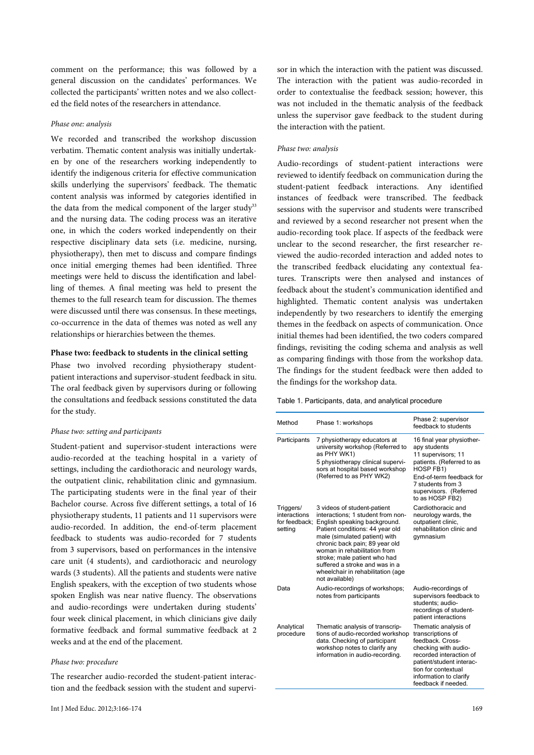comment on the performance; this was followed by a general discussion on the candidates' performances. We collected the participants' written notes and we also collected the field notes of the researchers in attendance.

## *Phase one: analysis*

We recorded and transcribed the workshop discussion verbatim. Thematic content analysis was initially undertaken by one of the researchers working independently to identify the indigenous criteria for effective communication skills underlying the supervisors' feedback. The thematic content analysis was informed by categories identified in the data from the medical component of the larger study<sup>33</sup> and the nursing data. The coding process was an iterative one, in which the coders worked independently on their respective disciplinary data sets (i.e. medicine, nursing, physiotherapy), then met to discuss and compare findings once initial emerging themes had been identified. Three meetings were held to discuss the identification and labelling of themes. A final meeting was held to present the themes to the full research team for discussion. The themes were discussed until there was consensus. In these meetings, co-occurrence in the data of themes was noted as well any relationships or hierarchies between the themes.

# **Phase two: feedback to students in the clinical setting**

Phase two involved recording physiotherapy studentpatient interactions and supervisor-student feedback in situ. The oral feedback given by supervisors during or following the consultations and feedback sessions constituted the data for the study.

### *Phase two: setting and participants*

Student-patient and supervisor-student interactions were audio-recorded at the teaching hospital in a variety of settings, including the cardiothoracic and neurology wards, the outpatient clinic, rehabilitation clinic and gymnasium. The participating students were in the final year of their Bachelor course. Across five different settings, a total of 16 physiotherapy students, 11 patients and 11 supervisors were audio-recorded. In addition, the end-of-term placement feedback to students was audio-recorded for 7 students from 3 supervisors, based on performances in the intensive care unit (4 students), and cardiothoracic and neurology wards (3 students). All the patients and students were native English speakers, with the exception of two students whose spoken English was near native fluency. The observations and audio-recordings were undertaken during students' four week clinical placement, in which clinicians give daily formative feedback and formal summative feedback at 2 weeks and at the end of the placement.

## *Phase two: procedure*

The researcher audio-recorded the student-patient interaction and the feedback session with the student and supervi-

sor in which the interaction with the patient was discussed. The interaction with the patient was audio-recorded in order to contextualise the feedback session; however, this was not included in the thematic analysis of the feedback unless the supervisor gave feedback to the student during the interaction with the patient.

### *Phase two: analysis*

Audio-recordings of student-patient interactions were reviewed to identify feedback on communication during the student-patient feedback interactions. Any identified instances of feedback were transcribed. The feedback sessions with the supervisor and students were transcribed and reviewed by a second researcher not present when the audio-recording took place. If aspects of the feedback were unclear to the second researcher, the first researcher reviewed the audio-recorded interaction and added notes to the transcribed feedback elucidating any contextual features. Transcripts were then analysed and instances of feedback about the student's communication identified and highlighted. Thematic content analysis was undertaken independently by two researchers to identify the emerging themes in the feedback on aspects of communication. Once initial themes had been identified, the two coders compared findings, revisiting the coding schema and analysis as well as comparing findings with those from the workshop data. The findings for the student feedback were then added to the findings for the workshop data.

#### Table 1. Participants, data, and analytical procedure

| Method                                                | Phase 1: workshops                                                                                                                                                                                                                                                                                                                                              | Phase 2: supervisor<br>feedback to students                                                                                                                                                                          |
|-------------------------------------------------------|-----------------------------------------------------------------------------------------------------------------------------------------------------------------------------------------------------------------------------------------------------------------------------------------------------------------------------------------------------------------|----------------------------------------------------------------------------------------------------------------------------------------------------------------------------------------------------------------------|
| Participants                                          | 7 physiotherapy educators at<br>university workshop (Referred to<br>as PHY WK1)<br>5 physiotherapy clinical supervi-<br>sors at hospital based workshop<br>(Referred to as PHY WK2)                                                                                                                                                                             | 16 final year physiother-<br>apy students<br>11 supervisors; 11<br>patients. (Referred to as<br>HOSP FB1)<br>End-of-term feedback for<br>7 students from 3<br>supervisors. (Referred<br>to as HOSP FB2)              |
| Triggers/<br>interactions<br>for feedback:<br>setting | 3 videos of student-patient<br>interactions; 1 student from non-<br>English speaking background.<br>Patient conditions: 44 year old<br>male (simulated patient) with<br>chronic back pain; 89 year old<br>woman in rehabilitation from<br>stroke; male patient who had<br>suffered a stroke and was in a<br>wheelchair in rehabilitation (age<br>not available) | Cardiothoracic and<br>neurology wards, the<br>outpatient clinic,<br>rehabilitation clinic and<br>gymnasium                                                                                                           |
| Data                                                  | Audio-recordings of workshops;<br>notes from participants                                                                                                                                                                                                                                                                                                       | Audio-recordings of<br>supervisors feedback to<br>students: audio-<br>recordings of student-<br>patient interactions                                                                                                 |
| Analytical<br>procedure                               | Thematic analysis of transcrip-<br>tions of audio-recorded workshop<br>data. Checking of participant<br>workshop notes to clarify any<br>information in audio-recording.                                                                                                                                                                                        | Thematic analysis of<br>transcriptions of<br>feedback. Cross-<br>checking with audio-<br>recorded interaction of<br>patient/student interac-<br>tion for contextual<br>information to clarify<br>feedback if needed. |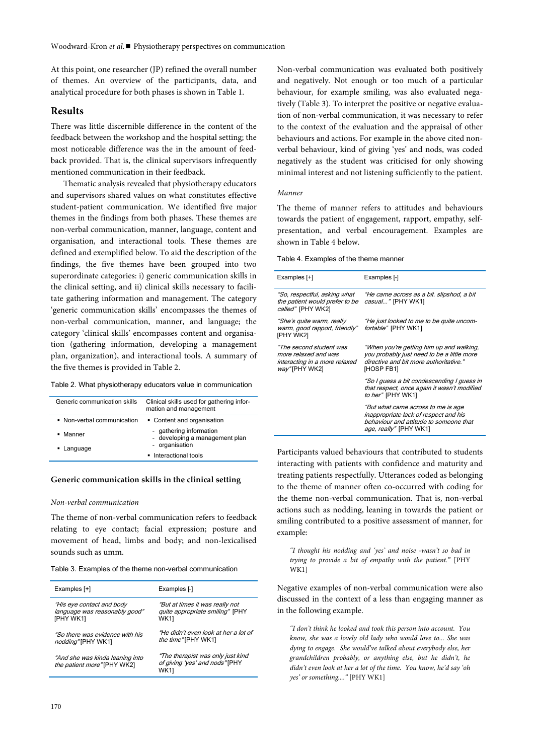At this point, one researcher (JP) refined the overall number of themes. An overview of the participants, data, and analytical procedure for both phases is shown in Table 1.

# **Results**

There was little discernible difference in the content of the feedback between the workshop and the hospital setting; the most noticeable difference was the in the amount of feedback provided. That is, the clinical supervisors infrequently mentioned communication in their feedback.

Thematic analysis revealed that physiotherapy educators and supervisors shared values on what constitutes effective student-patient communication. We identified five major themes in the findings from both phases. These themes are non-verbal communication, manner, language, content and organisation, and interactional tools. These themes are defined and exemplified below. To aid the description of the findings, the five themes have been grouped into two superordinate categories: i) generic communication skills in the clinical setting, and ii) clinical skills necessary to facilitate gathering information and management. The category 'generic communication skills' encompasses the themes of non-verbal communication, manner, and language; the category 'clinical skills' encompasses content and organisation (gathering information, developing a management plan, organization), and interactional tools. A summary of the five themes is provided in Table 2.

## Table 2. What physiotherapy educators value in communication

| Generic communication skills        | Clinical skills used for gathering infor-<br>mation and management          |
|-------------------------------------|-----------------------------------------------------------------------------|
| • Non-verbal communication          | • Content and organisation                                                  |
| • Manner<br>$\blacksquare$ Language | - gathering information<br>- developing a management plan<br>- organisation |
|                                     | Interactional tools                                                         |

## **Generic communication skills in the clinical setting**

#### *Non-verbal communication*

The theme of non-verbal communication refers to feedback relating to eye contact; facial expression; posture and movement of head, limbs and body; and non-lexicalised sounds such as umm.

|  |  |  |  | Table 3. Examples of the theme non-verbal communication |
|--|--|--|--|---------------------------------------------------------|
|--|--|--|--|---------------------------------------------------------|

| Examples [+]                                                                   | Examples [-]                                                                |
|--------------------------------------------------------------------------------|-----------------------------------------------------------------------------|
| "His eye contact and body<br>language was reasonably good"<br><b>IPHY WK11</b> | "But at times it was really not<br>quite appropriate smiling" [PHY<br>WK11  |
| "So there was evidence with his<br>nodding"[PHY WK1]                           | "He didn't even look at her a lot of<br><i>the time</i> "[PHY WK1]          |
| "And she was kinda leaning into<br>the patient more"[PHY WK2]                  | "The therapist was only just kind<br>of giving 'yes' and nods" [PHY<br>WK11 |

Non-verbal communication was evaluated both positively and negatively. Not enough or too much of a particular behaviour, for example smiling, was also evaluated negatively (Table 3). To interpret the positive or negative evaluation of non-verbal communication, it was necessary to refer to the context of the evaluation and the appraisal of other behaviours and actions. For example in the above cited nonverbal behaviour, kind of giving 'yes' and nods, was coded negatively as the student was criticised for only showing minimal interest and not listening sufficiently to the patient.

## *Manner*

The theme of manner refers to attitudes and behaviours towards the patient of engagement, rapport, empathy, selfpresentation, and verbal encouragement. Examples are shown in Table 4 below.

Table 4. Examples of the theme manner

| Examples [+]                                                                                      | Examples [-]                                                                                                                                    |
|---------------------------------------------------------------------------------------------------|-------------------------------------------------------------------------------------------------------------------------------------------------|
| "So, respectful, asking what<br>the patient would prefer to be<br>called" [PHY WK2]               | "He came across as a bit. slipshod, a bit<br>casual" [PHY WK1]                                                                                  |
| "She's quite warm, really<br>warm, good rapport, friendly"<br>[PHY WK2]                           | "He just looked to me to be quite uncom-<br>fortable" [PHY WK1]                                                                                 |
| "The second student was<br>more relaxed and was<br>interacting in a more relaxed<br>way"[PHY WK2] | "When you're getting him up and walking,<br>you probably just need to be a little more<br>directive and bit more authoritative."<br>[HOSP FB1]  |
|                                                                                                   | "So I quess a bit condescending I quess in<br>that respect, once again it wasn't modified<br>to her" [PHY WK1]                                  |
|                                                                                                   | "But what came across to me is age<br>inappropriate lack of respect and his<br>behaviour and attitude to someone that<br>age, really" [PHY WK1] |

Participants valued behaviours that contributed to students interacting with patients with confidence and maturity and treating patients respectfully. Utterances coded as belonging to the theme of manner often co-occurred with coding for the theme non-verbal communication. That is, non-verbal actions such as nodding, leaning in towards the patient or smiling contributed to a positive assessment of manner, for example:

*"I thought his nodding and 'yes' and noise -wasn't so bad in trying to provide a bit of empathy with the patient."* [PHY WK1]

Negative examples of non-verbal communication were also discussed in the context of a less than engaging manner as in the following example.

*"I don't think he looked and took this person into account. You know, she was a lovely old lady who would love to... She was dying to engage. She would've talked about everybody else, her grandchildren probably, or anything else, but he didn't, he didn't even look at her a lot of the time. You know, he'd say 'oh yes' or something...."* [PHY WK1]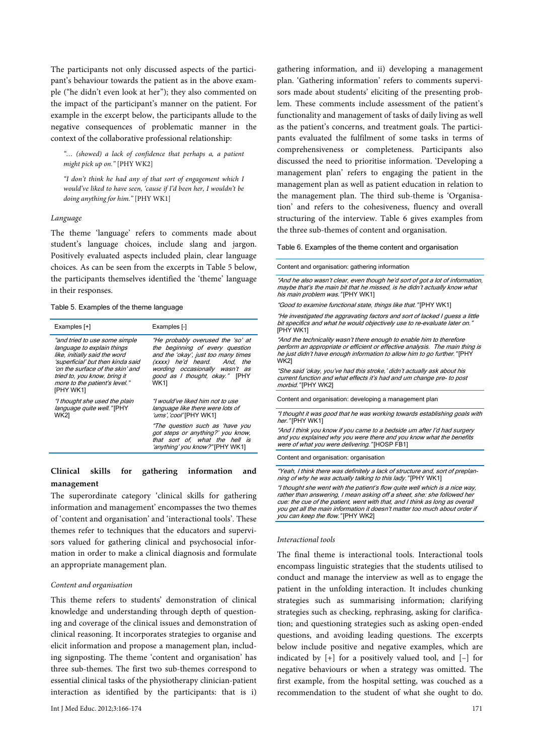The participants not only discussed aspects of the participant's behaviour towards the patient as in the above example ("he didn't even look at her"); they also commented on the impact of the participant's manner on the patient. For example in the excerpt below, the participants allude to the negative consequences of problematic manner in the context of the collaborative professional relationship:

*"… (showed) a lack of confidence that perhaps a, a patient might pick up on."* [PHY WK2]

*"I don't think he had any of that sort of engagement which I would've liked to have seen, 'cause if I'd been her, I wouldn't be doing anything for him."* [PHY WK1]

#### *Language*

The theme 'language' refers to comments made about student's language choices, include slang and jargon. Positively evaluated aspects included plain, clear language choices. As can be seen from the excerpts in Table 5 below, the participants themselves identified the 'theme' language in their responses.

#### Table 5. Examples of the theme language

| Examples [+]                                                                                                                                                                                                                                        | Examples [-]                                                                                                                                                                                                                  |
|-----------------------------------------------------------------------------------------------------------------------------------------------------------------------------------------------------------------------------------------------------|-------------------------------------------------------------------------------------------------------------------------------------------------------------------------------------------------------------------------------|
| "and tried to use some simple<br>language to explain things<br>like, initially said the word<br>'superficial' but then kinda said<br>'on the surface of the skin' and<br>tried to, you know, bring it<br>more to the patient's level."<br>[PHY WK1] | "He probably overused the 'so' at<br>the beginning of every question<br>and the 'okay', just too many times<br>(xxxx) he'd heard. And, the<br>wording occasionally wasn't as<br>good as I thought, okay." [PHY<br><b>WK11</b> |
| "I thought she used the plain<br>language quite well."[PHY<br>WK21                                                                                                                                                                                  | "I would've liked him not to use<br>language like there were lots of<br>'ums'.'cool'[PHY WK1]                                                                                                                                 |
|                                                                                                                                                                                                                                                     | "The question such as 'have you<br>got steps or anything?' you know,<br>that sort of, what the hell is<br>'anything' you know?"[PHY WK1]                                                                                      |

# **Clinical skills for gathering information and management**

The superordinate category 'clinical skills for gathering information and management' encompasses the two themes of 'content and organisation' and 'interactional tools'. These themes refer to techniques that the educators and supervisors valued for gathering clinical and psychosocial information in order to make a clinical diagnosis and formulate an appropriate management plan.

#### *Content and organisation*

This theme refers to students' demonstration of clinical knowledge and understanding through depth of questioning and coverage of the clinical issues and demonstration of clinical reasoning. It incorporates strategies to organise and elicit information and propose a management plan, including signposting. The theme 'content and organisation' has three sub-themes. The first two sub-themes correspond to essential clinical tasks of the physiotherapy clinician-patient interaction as identified by the participants: that is i)

gathering information, and ii) developing a management plan. 'Gathering information' refers to comments supervisors made about students' eliciting of the presenting problem. These comments include assessment of the patient's functionality and management of tasks of daily living as well as the patient's concerns, and treatment goals. The participants evaluated the fulfilment of some tasks in terms of comprehensiveness or completeness. Participants also discussed the need to prioritise information. 'Developing a management plan' refers to engaging the patient in the management plan as well as patient education in relation to the management plan. The third sub-theme is 'Organisation' and refers to the cohesiveness, fluency and overall structuring of the interview. Table 6 gives examples from the three sub-themes of content and organisation.

#### Table 6. Examples of the theme content and organisation

#### Content and organisation: gathering information

"And he also wasn't clear, even though he'd sort of got a lot of information, maybe that's the main bit that he missed, is he didn't actually know what his main problem was." [PHY WK1]

"Good to examine functional state, things like that." [PHY WK1]

"He investigated the aggravating factors and sort of lacked I guess a little bit specifics and what he would objectively use to re-evaluate later on. **EXPLOSURED** 

"And the technicality wasn't there enough to enable him to therefore perform an appropriate or efficient or effective analysis. The main thing is he just didn't have enough information to allow him to go further." [PHY WK2]

"She said 'okay, you've had this stroke,' didn't actually ask about his current function and what effects it's had and um change pre- to post morbid." [PHY WK2]

Content and organisation: developing a management plan

"I thought it was good that he was working towards establishing goals with<br>her."[PHY WK1]

"And I think you know if you came to a bedside um after I'd had surgery and you explained why you were there and you know what the benefits were of what you were delivering." [HOSP FB1]

Content and organisation: organisation

"Yeah, I think there was definitely a lack of structure and, sort of preplanning of why he was actually talking to this lady." [PHY WK1]

"I thought she went with the patient's flow quite well which is a nice way, rather than answering, I mean asking off a sheet, she: she followed her cue: the cue of the patient, went with that, and I think as long as overall you get all the main information it doesn't matter too much about order if you can keep the flow." [PHY WK2]

## *Interactional tools*

The final theme is interactional tools. Interactional tools encompass linguistic strategies that the students utilised to conduct and manage the interview as well as to engage the patient in the unfolding interaction. It includes chunking strategies such as summarising information; clarifying strategies such as checking, rephrasing, asking for clarification; and questioning strategies such as asking open-ended questions, and avoiding leading questions. The excerpts below include positive and negative examples, which are indicated by [+] for a positively valued tool, and [–] for negative behaviours or when a strategy was omitted. The first example, from the hospital setting, was couched as a recommendation to the student of what she ought to do.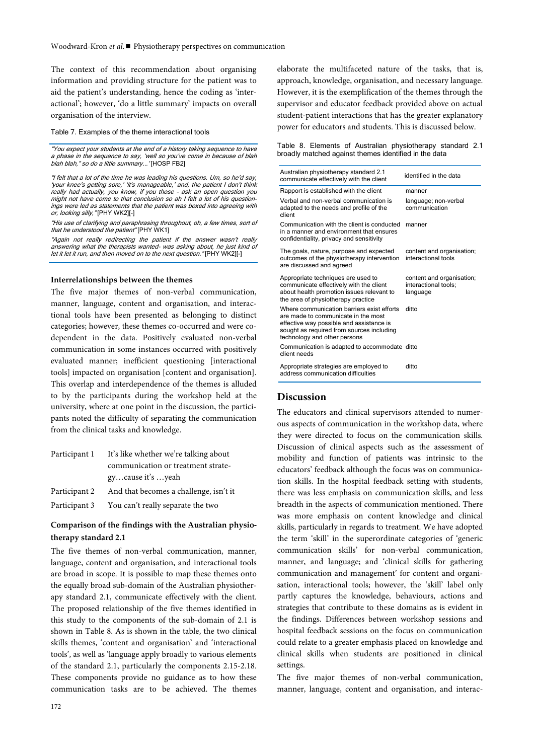The context of this recommendation about organising information and providing structure for the patient was to aid the patient's understanding, hence the coding as 'interactional'; however, 'do a little summary' impacts on overall organisation of the interview.

Table 7. Examples of the theme interactional tools

"You expect your students at the end of a history taking sequence to have a phase in the sequence to say, 'well so you've come in because of blah blah blah," so do a little summary...' [HOSP FB2]

"I felt that a lot of the time he was leading his questions. Um, so he'd say, 'your knee's getting sore,' 'it's manageable,' and, the patient I don't think really had actually, you know, if you those – ask an open question you might not have come to that conclusion so ah I felt a lot of his questionings were led as statements that the patient was boxed into agreeing with or, looking silly," [PHY WK2][-]

"His use of clarifying and paraphrasing throughout, oh, a few times, sort of that he understood the patient" [PHY WK1]

"Again not really redirecting the patient if the answer wasn't really answering what the therapists wanted- was asking about, he just kind of let it let it run, and then moved on to the next question." [PHY WK2][-]

## **Interrelationships between the themes**

The five major themes of non-verbal communication, manner, language, content and organisation, and interactional tools have been presented as belonging to distinct categories; however, these themes co-occurred and were codependent in the data. Positively evaluated non-verbal communication in some instances occurred with positively evaluated manner; inefficient questioning [interactional tools] impacted on organisation [content and organisation]. This overlap and interdependence of the themes is alluded to by the participants during the workshop held at the university, where at one point in the discussion, the participants noted the difficulty of separating the communication from the clinical tasks and knowledge.

| Participant 1 | It's like whether we're talking about  |  |
|---------------|----------------------------------------|--|
|               | communication or treatment strate-     |  |
|               | gycause it's yeah                      |  |
| Participant 2 | And that becomes a challenge, isn't it |  |
| Participant 3 | You can't really separate the two      |  |

# **Comparison of the findings with the Australian physiotherapy standard 2.1**

The five themes of non-verbal communication, manner, language, content and organisation, and interactional tools are broad in scope. It is possible to map these themes onto the equally broad sub-domain of the Australian physiotherapy standard 2.1, communicate effectively with the client. The proposed relationship of the five themes identified in this study to the components of the sub-domain of 2.1 is shown in Table 8. As is shown in the table, the two clinical skills themes, 'content and organisation' and 'interactional tools', as well as 'language apply broadly to various elements of the standard 2.1, particularly the components 2.15-2.18. These components provide no guidance as to how these communication tasks are to be achieved. The themes

elaborate the multifaceted nature of the tasks, that is, approach, knowledge, organisation, and necessary language. However, it is the exemplification of the themes through the supervisor and educator feedback provided above on actual student-patient interactions that has the greater explanatory power for educators and students. This is discussed below.

Table 8. Elements of Australian physiotherapy standard 2.1 broadly matched against themes identified in the data

| Australian physiotherapy standard 2.1<br>communicate effectively with the client                                                                                                                           | identified in the data                                        |
|------------------------------------------------------------------------------------------------------------------------------------------------------------------------------------------------------------|---------------------------------------------------------------|
| Rapport is established with the client                                                                                                                                                                     | manner                                                        |
| Verbal and non-verbal communication is<br>adapted to the needs and profile of the<br>client                                                                                                                | language; non-verbal<br>communication                         |
| Communication with the client is conducted<br>in a manner and environment that ensures<br>confidentiality, privacy and sensitivity                                                                         | manner                                                        |
| The goals, nature, purpose and expected<br>outcomes of the physiotherapy intervention<br>are discussed and agreed                                                                                          | content and organisation;<br>interactional tools              |
| Appropriate techniques are used to<br>communicate effectively with the client<br>about health promotion issues relevant to<br>the area of physiotherapy practice                                           | content and organisation;<br>interactional tools;<br>language |
| Where communication barriers exist efforts<br>are made to communicate in the most<br>effective way possible and assistance is<br>sought as required from sources including<br>technology and other persons | ditto                                                         |
| Communication is adapted to accommodate ditto<br>client needs                                                                                                                                              |                                                               |
| Appropriate strategies are employed to<br>address communication difficulties                                                                                                                               | ditto                                                         |

# **Discussion**

The educators and clinical supervisors attended to numerous aspects of communication in the workshop data, where they were directed to focus on the communication skills. Discussion of clinical aspects such as the assessment of mobility and function of patients was intrinsic to the educators' feedback although the focus was on communication skills. In the hospital feedback setting with students, there was less emphasis on communication skills, and less breadth in the aspects of communication mentioned. There was more emphasis on content knowledge and clinical skills, particularly in regards to treatment. We have adopted the term 'skill' in the superordinate categories of 'generic communication skills' for non-verbal communication, manner, and language; and 'clinical skills for gathering communication and management' for content and organisation, interactional tools; however, the 'skill' label only partly captures the knowledge, behaviours, actions and strategies that contribute to these domains as is evident in the findings. Differences between workshop sessions and hospital feedback sessions on the focus on communication could relate to a greater emphasis placed on knowledge and clinical skills when students are positioned in clinical settings.

The five major themes of non-verbal communication, manner, language, content and organisation, and interac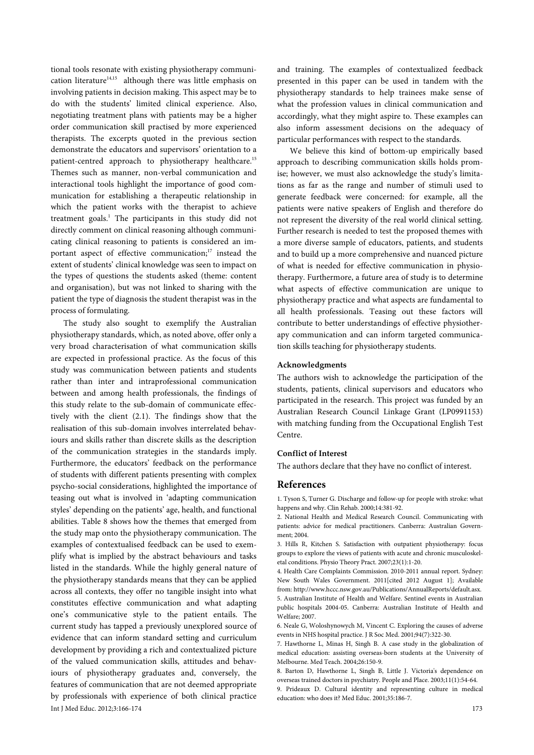tional tools resonate with existing physiotherapy communication literature $14,15$  although there was little emphasis on involving patients in decision making. This aspect may be to do with the students' limited clinical experience. Also, negotiating treatment plans with patients may be a higher order communication skill practised by more experienced therapists. The excerpts quoted in the previous section demonstrate the educators and supervisors' orientation to a patient-centred approach to physiotherapy healthcare.<sup>15</sup> Themes such as manner, non-verbal communication and interactional tools highlight the importance of good communication for establishing a therapeutic relationship in which the patient works with the therapist to achieve treatment goals.<sup>1</sup> The participants in this study did not directly comment on clinical reasoning although communicating clinical reasoning to patients is considered an important aspect of effective communication;<sup>17</sup> instead the extent of students' clinical knowledge was seen to impact on the types of questions the students asked (theme: content and organisation), but was not linked to sharing with the patient the type of diagnosis the student therapist was in the process of formulating.

Int J Med Educ. 2012;3:166-174 173 The study also sought to exemplify the Australian physiotherapy standards, which, as noted above, offer only a very broad characterisation of what communication skills are expected in professional practice. As the focus of this study was communication between patients and students rather than inter and intraprofessional communication between and among health professionals, the findings of this study relate to the sub-domain of communicate effectively with the client (2.1). The findings show that the realisation of this sub-domain involves interrelated behaviours and skills rather than discrete skills as the description of the communication strategies in the standards imply. Furthermore, the educators' feedback on the performance of students with different patients presenting with complex psycho-social considerations, highlighted the importance of teasing out what is involved in 'adapting communication styles' depending on the patients' age, health, and functional abilities. Table 8 shows how the themes that emerged from the study map onto the physiotherapy communication. The examples of contextualised feedback can be used to exemplify what is implied by the abstract behaviours and tasks listed in the standards. While the highly general nature of the physiotherapy standards means that they can be applied across all contexts, they offer no tangible insight into what constitutes effective communication and what adapting one's communicative style to the patient entails. The current study has tapped a previously unexplored source of evidence that can inform standard setting and curriculum development by providing a rich and contextualized picture of the valued communication skills, attitudes and behaviours of physiotherapy graduates and, conversely, the features of communication that are not deemed appropriate by professionals with experience of both clinical practice

and training. The examples of contextualized feedback presented in this paper can be used in tandem with the physiotherapy standards to help trainees make sense of what the profession values in clinical communication and accordingly, what they might aspire to. These examples can also inform assessment decisions on the adequacy of particular performances with respect to the standards.

We believe this kind of bottom-up empirically based approach to describing communication skills holds promise; however, we must also acknowledge the study's limitations as far as the range and number of stimuli used to generate feedback were concerned: for example, all the patients were native speakers of English and therefore do not represent the diversity of the real world clinical setting. Further research is needed to test the proposed themes with a more diverse sample of educators, patients, and students and to build up a more comprehensive and nuanced picture of what is needed for effective communication in physiotherapy. Furthermore, a future area of study is to determine what aspects of effective communication are unique to physiotherapy practice and what aspects are fundamental to all health professionals. Teasing out these factors will contribute to better understandings of effective physiotherapy communication and can inform targeted communication skills teaching for physiotherapy students.

### **Acknowledgments**

The authors wish to acknowledge the participation of the students, patients, clinical supervisors and educators who participated in the research. This project was funded by an Australian Research Council Linkage Grant (LP0991153) with matching funding from the Occupational English Test Centre.

## **Conflict of Interest**

The authors declare that they have no conflict of interest.

## **References**

1. Tyson S, Turner G. Discharge and follow-up for people with stroke: what happens and why. Clin Rehab. 2000;14:381-92.

2. National Health and Medical Research Council. Communicating with patients: advice for medical practitioners. Canberra: Australian Government; 2004.

3. Hills R, Kitchen S. Satisfaction with outpatient physiotherapy: focus groups to explore the views of patients with acute and chronic musculoskeletal conditions. Physio Theory Pract. 2007;23(1):1-20.

4. Health Care Complaints Commission. 2010-2011 annual report. Sydney: New South Wales Government. 2011[cited 2012 August 1]; Available from: http://www.hccc.nsw.gov.au/Publications/AnnualReports/default.asx. 5. Australian Institute of Health and Welfare. Sentinel events in Australian public hospitals 2004-05. Canberra: Australian Institute of Health and Welfare; 2007.

6. Neale G, Woloshynowych M, Vincent C. Exploring the causes of adverse events in NHS hospital practice. J R Soc Med. 2001;94(7):322-30.

7. Hawthorne L, Minas H, Singh B. A case study in the globalization of medical education: assisting overseas-born students at the University of Melbourne. Med Teach. 2004;26:150-9.

8. Barton D, Hawthorne L, Singh B, Little J. Victoria's dependence on overseas trained doctors in psychiatry. People and Place. 2003;11(1):54-64.

9. Prideaux D. Cultural identity and representing culture in medical education: who does it? Med Educ. 2001;35:186-7.